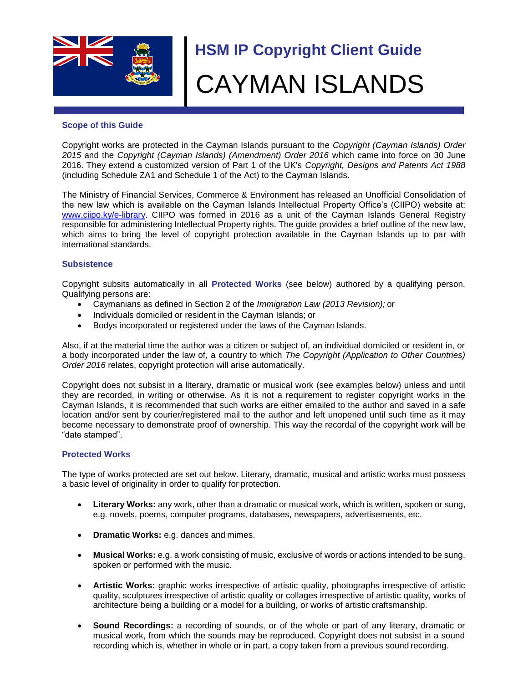

# **HSM IP Copyright Client Guide** CAYMAN ISLANDS

#### **Scope of this Guide**

Copyright works are protected in the Cayman Islands pursuant to the *Copyright (Cayman Islands) Order 2015* and the *Copyright (Cayman Islands) (Amendment) Order 2016* which came into force on 30 June 2016. They extend a customized version of Part 1 of the UK's *Copyright, Designs and Patents Act 1988*  (including Schedule ZA1 and Schedule 1 of the Act) to the Cayman Islands.

The Ministry of Financial Services, Commerce & Environment has released an Unofficial Consolidation of the new law which is available on the Cayman Islands Intellectual Property Office's (CIIPO) website at: [www.ciipo.ky/e-library.](http://www.ciipo.ky/e-library) CIIPO was formed in 2016 as a unit of the Cayman Islands General Registry responsible for administering Intellectual Property rights. The guide provides a brief outline of the new law, which aims to bring the level of copyright protection available in the Cayman Islands up to par with international standards.

#### **Subsistence**

Copyright subsits automatically in all **Protected Works** (see below) authored by a qualifying person. Qualifying persons are:

- Caymanians as defined in Section 2 of the *Immigration Law (2013 Revision);* or
- Individuals domiciled or resident in the Cayman Islands; or
- Bodys incorporated or registered under the laws of the Cayman Islands.

Also, if at the material time the author was a citizen or subject of, an individual domiciled or resident in, or a body incorporated under the law of, a country to which *The Copyright (Application to Other Countries) Order 2016* relates, copyright protection will arise automatically.

Copyright does not subsist in a literary, dramatic or musical work (see examples below) unless and until they are recorded, in writing or otherwise. As it is not a requirement to register copyright works in the Cayman Islands, it is recommended that such works are either emailed to the author and saved in a safe location and/or sent by courier/registered mail to the author and left unopened until such time as it may become necessary to demonstrate proof of ownership. This way the recordal of the copyright work will be "date stamped".

## **Protected Works**

The type of works protected are set out below. Literary, dramatic, musical and artistic works must possess a basic level of originality in order to qualify for protection.

- **Literary Works:** any work, other than a dramatic or musical work, which is written, spoken or sung, e.g. novels, poems, computer programs, databases, newspapers, advertisements, etc.
- **Dramatic Works:** e.g. dances and mimes.
- **Musical Works:** e.g. a work consisting of music, exclusive of words or actions intended to be sung, spoken or performed with the music.
- **Artistic Works:** graphic works irrespective of artistic quality, photographs irrespective of artistic quality, sculptures irrespective of artistic quality or collages irrespective of artistic quality, works of architecture being a building or a model for a building, or works of artistic craftsmanship.
- **Sound Recordings:** a recording of sounds, or of the whole or part of any literary, dramatic or musical work, from which the sounds may be reproduced. Copyright does not subsist in a sound recording which is, whether in whole or in part, a copy taken from a previous sound recording.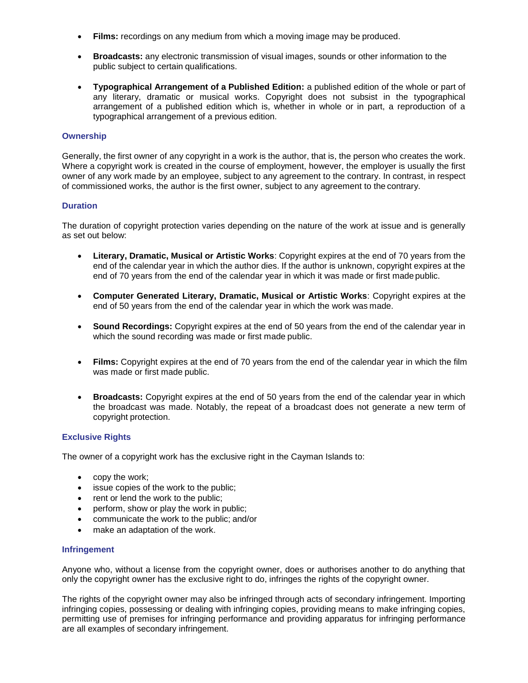- **Films:** recordings on any medium from which a moving image may be produced.
- **Broadcasts:** any electronic transmission of visual images, sounds or other information to the public subject to certain qualifications.
- **Typographical Arrangement of a Published Edition:** a published edition of the whole or part of any literary, dramatic or musical works. Copyright does not subsist in the typographical arrangement of a published edition which is, whether in whole or in part, a reproduction of a typographical arrangement of a previous edition.

## **Ownership**

Generally, the first owner of any copyright in a work is the author, that is, the person who creates the work. Where a copyright work is created in the course of employment, however, the employer is usually the first owner of any work made by an employee, subject to any agreement to the contrary. In contrast, in respect of commissioned works, the author is the first owner, subject to any agreement to the contrary.

#### **Duration**

The duration of copyright protection varies depending on the nature of the work at issue and is generally as set out below:

- **Literary, Dramatic, Musical or Artistic Works**: Copyright expires at the end of 70 years from the end of the calendar year in which the author dies. If the author is unknown, copyright expires at the end of 70 years from the end of the calendar year in which it was made or first made public.
- **Computer Generated Literary, Dramatic, Musical or Artistic Works**: Copyright expires at the end of 50 years from the end of the calendar year in which the work was made.
- **Sound Recordings:** Copyright expires at the end of 50 years from the end of the calendar year in which the sound recording was made or first made public.
- **Films:** Copyright expires at the end of 70 years from the end of the calendar year in which the film was made or first made public.
- **Broadcasts:** Copyright expires at the end of 50 years from the end of the calendar year in which the broadcast was made. Notably, the repeat of a broadcast does not generate a new term of copyright protection.

## **Exclusive Rights**

The owner of a copyright work has the exclusive right in the Cayman Islands to:

- copy the work;
- issue copies of the work to the public;
- rent or lend the work to the public;
- perform, show or play the work in public;
- communicate the work to the public; and/or
- make an adaptation of the work.

#### **Infringement**

Anyone who, without a license from the copyright owner, does or authorises another to do anything that only the copyright owner has the exclusive right to do, infringes the rights of the copyright owner.

The rights of the copyright owner may also be infringed through acts of secondary infringement. Importing infringing copies, possessing or dealing with infringing copies, providing means to make infringing copies, permitting use of premises for infringing performance and providing apparatus for infringing performance are all examples of secondary infringement.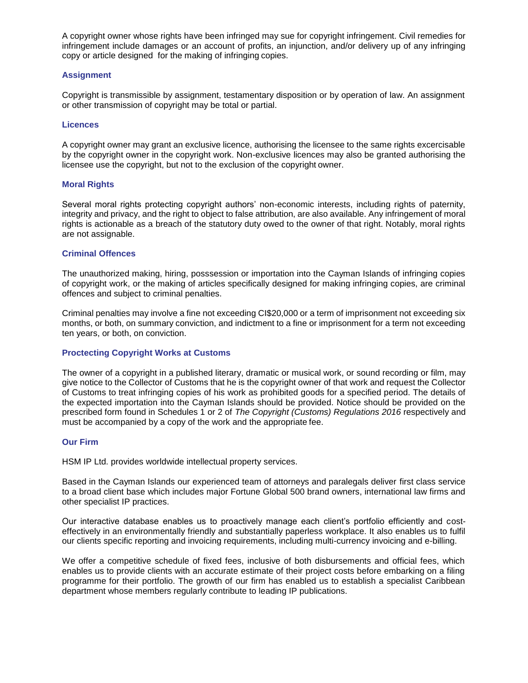A copyright owner whose rights have been infringed may sue for copyright infringement. Civil remedies for infringement include damages or an account of profits, an injunction, and/or delivery up of any infringing copy or article designed for the making of infringing copies.

## **Assignment**

Copyright is transmissible by assignment, testamentary disposition or by operation of law. An assignment or other transmission of copyright may be total or partial.

#### **Licences**

A copyright owner may grant an exclusive licence, authorising the licensee to the same rights excercisable by the copyright owner in the copyright work. Non-exclusive licences may also be granted authorising the licensee use the copyright, but not to the exclusion of the copyright owner.

#### **Moral Rights**

Several moral rights protecting copyright authors' non-economic interests, including rights of paternity, integrity and privacy, and the right to object to false attribution, are also available. Any infringement of moral rights is actionable as a breach of the statutory duty owed to the owner of that right. Notably, moral rights are not assignable.

#### **Criminal Offences**

The unauthorized making, hiring, posssession or importation into the Cayman Islands of infringing copies of copyright work, or the making of articles specifically designed for making infringing copies, are criminal offences and subject to criminal penalties.

Criminal penalties may involve a fine not exceeding CI\$20,000 or a term of imprisonment not exceeding six months, or both, on summary conviction, and indictment to a fine or imprisonment for a term not exceeding ten years, or both, on conviction.

## **Proctecting Copyright Works at Customs**

The owner of a copyright in a published literary, dramatic or musical work, or sound recording or film, may give notice to the Collector of Customs that he is the copyright owner of that work and request the Collector of Customs to treat infringing copies of his work as prohibited goods for a specified period. The details of the expected importation into the Cayman Islands should be provided. Notice should be provided on the prescribed form found in Schedules 1 or 2 of *The Copyright (Customs) Regulations 2016* respectively and must be accompanied by a copy of the work and the appropriate fee.

#### **Our Firm**

HSM IP Ltd. provides worldwide intellectual property services.

Based in the Cayman Islands our experienced team of attorneys and paralegals deliver first class service to a broad client base which includes major Fortune Global 500 brand owners, international law firms and other specialist IP practices.

Our interactive database enables us to proactively manage each client's portfolio efficiently and costeffectively in an environmentally friendly and substantially paperless workplace. It also enables us to fulfil our clients specific reporting and invoicing requirements, including multi-currency invoicing and e-billing.

We offer a competitive schedule of fixed fees, inclusive of both disbursements and official fees, which enables us to provide clients with an accurate estimate of their project costs before embarking on a filing programme for their portfolio. The growth of our firm has enabled us to establish a specialist Caribbean department whose members regularly contribute to leading IP publications.